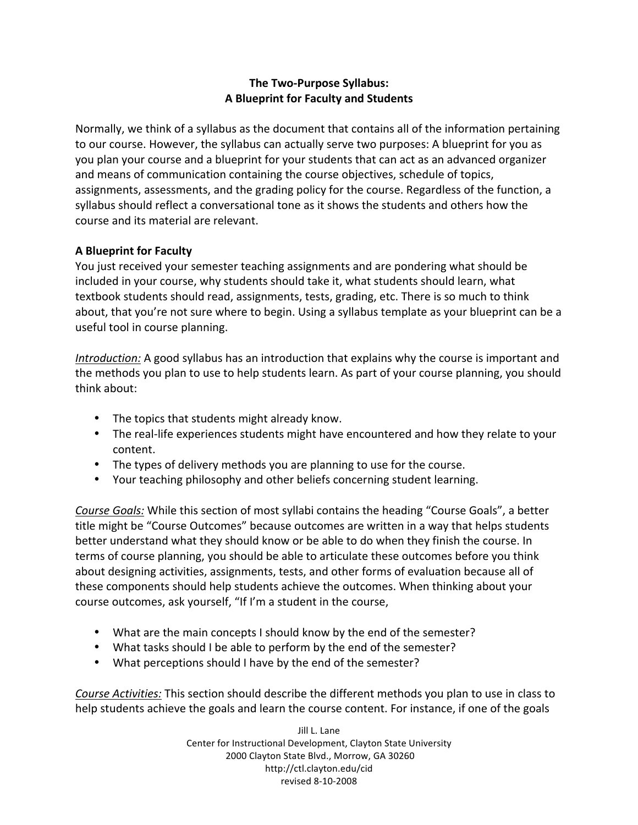# **The Two‐Purpose Syllabus: A Blueprint for Faculty and Students**

Normally, we think of a syllabus as the document that contains all of the information pertaining to our course. However, the syllabus can actually serve two purposes: A blueprint for you as you
plan
your
course
and
a
blueprint
for
your
students
that
can
act
as
an
advanced
organizer and
means
of
communication
containing
the
course
objectives,
schedule
of
topics, assignments, assessments, and the grading policy for the course. Regardless of the function, a syllabus should reflect a conversational tone as it shows the students and others how the course
and
its
material
are
relevant.

# **A Blueprint for Faculty**

You just received your semester teaching assignments and are pondering what should be included in your course, why students should take it, what students should learn, what textbook students should read, assignments, tests, grading, etc. There is so much to think about, that you're not sure where to begin. Using a syllabus template as your blueprint can be a useful
tool
in
course
planning.

Introduction: A good syllabus has an introduction that explains why the course is important and the methods you plan to use to help students learn. As part of your course planning, you should think
about:

- The topics that students might already know.
- The real-life experiences students might have encountered and how they relate to your content.
- The types of delivery methods you are planning to use for the course.
- Your teaching philosophy and other beliefs concerning student learning.

Course Goals: While this section of most syllabi contains the heading "Course Goals", a better title might be "Course Outcomes" because outcomes are written in a way that helps students better understand what they should know or be able to do when they finish the course. In terms of course planning, you should be able to articulate these outcomes before you think about designing activities, assignments, tests, and other forms of evaluation because all of these components should help students achieve the outcomes. When thinking about your course outcomes, ask yourself, "If I'm a student in the course,

- What are the main concepts I should know by the end of the semester?
- What tasks should I be able to perform by the end of the semester?
- What perceptions should I have by the end of the semester?

Course Activities: This section should describe the different methods you plan to use in class to help students achieve the goals and learn the course content. For instance, if one of the goals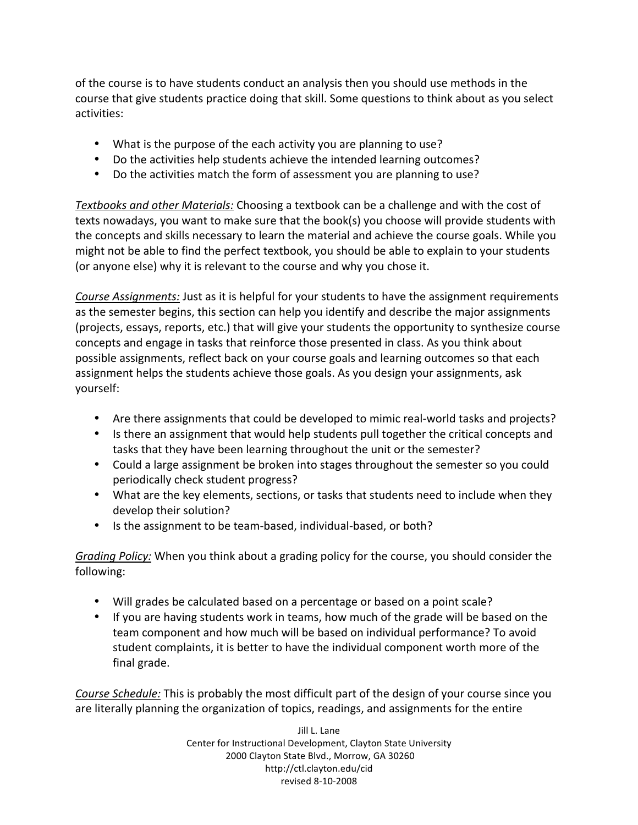of
the
course
is
to
have
students
conduct
an
analysis
then
you
should
use
methods
in
the course
that
give
students
practice
doing
that
skill.
Some
questions
to
think
about
as
you
select activities:

- What is the purpose of the each activity you are planning to use?
- Do the activities help students achieve the intended learning outcomes?
- Do the activities match the form of assessment you are planning to use?

Textbooks and other Materials: Choosing a textbook can be a challenge and with the cost of texts nowadays, you want to make sure that the book(s) you choose will provide students with the
concepts
and
skills
necessary
to
learn
the
material
and
achieve
the
course
goals.
While
you might not be able to find the perfect textbook, you should be able to explain to your students (or
anyone
else)
why
it
is
relevant
to
the
course
and
why
you
chose
it.

Course Assignments: Just as it is helpful for your students to have the assignment requirements as
the
semester
begins,
this
section
can
help
you
identify
and
describe
the
major
assignments (projects, essays, reports, etc.) that will give your students the opportunity to synthesize course concepts
and
engage
in
tasks
that
reinforce
those
presented
in
class.
As
you
think
about possible
assignments,
reflect
back
on
your
course
goals
and
learning
outcomes
so
that
each assignment helps the students achieve those goals. As you design your assignments, ask yourself:

- Are there assignments that could be developed to mimic real-world tasks and projects?
- Is there an assignment that would help students pull together the critical concepts and tasks
that
they
have
been
learning
throughout
the
unit
or
the
semester?
- Could a large assignment be broken into stages throughout the semester so you could periodically
check
student
progress?
- What are the key elements, sections, or tasks that students need to include when they develop
their
solution?
- Is the assignment to be team-based, individual-based, or both?

Grading Policy: When you think about a grading policy for the course, you should consider the following:

- Will grades be calculated based on a percentage or based on a point scale?
- If you are having students work in teams, how much of the grade will be based on the team
component
and
how
much
will
be
based
on
individual
performance?
To
avoid student complaints, it is better to have the individual component worth more of the final
grade.

Course Schedule: This is probably the most difficult part of the design of your course since you are
literally
planning
the
organization
of
topics,
readings,
and
assignments
for
the
entire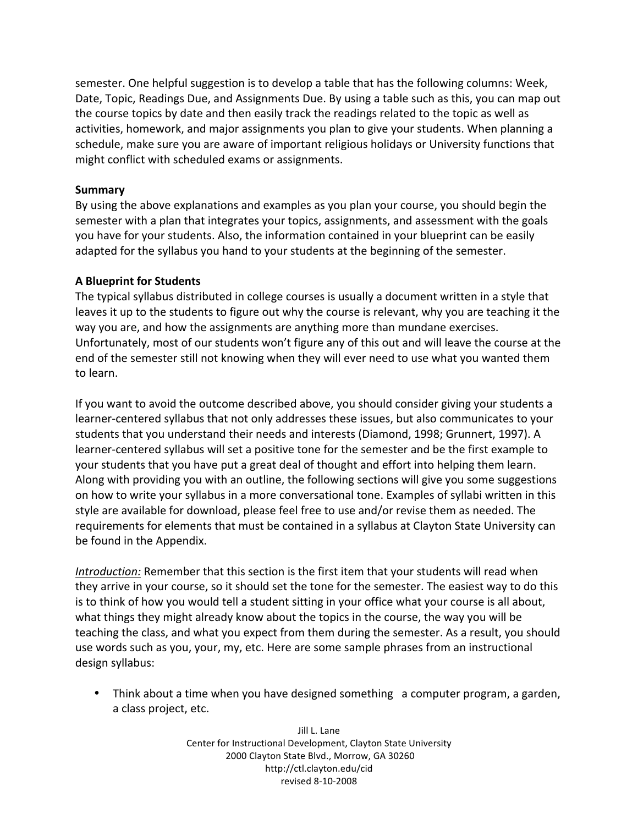semester. One helpful suggestion is to develop a table that has the following columns: Week, Date, Topic, Readings Due, and Assignments Due. By using a table such as this, you can map out the course topics by date and then easily track the readings related to the topic as well as activities, homework, and major assignments you plan to give your students. When planning a schedule, make sure you are aware of important religious holidays or University functions that might
conflict
with
scheduled
exams
or
assignments.

#### **Summary**

By using the above explanations and examples as you plan your course, you should begin the semester with a plan that integrates your topics, assignments, and assessment with the goals you
have
for
your
students.
Also,
the
information
contained
in
your
blueprint
can
be
easily adapted for the syllabus you hand to your students at the beginning of the semester.

# **A Blueprint for Students**

The typical syllabus distributed in college courses is usually a document written in a style that leaves it up to the students to figure out why the course is relevant, why you are teaching it the way
you
are,
and
how
the
assignments
are
anything
more
than
mundane
exercises. Unfortunately, most of our students won't figure any of this out and will leave the course at the end of the semester still not knowing when they will ever need to use what you wanted them to
learn.

If you want to avoid the outcome described above, you should consider giving your students a learner-centered syllabus that not only addresses these issues, but also communicates to your students
that
you
understand
their
needs
and
interests
(Diamond,
1998;
Grunnert,
1997).
A learner-centered syllabus will set a positive tone for the semester and be the first example to your students that you have put a great deal of thought and effort into helping them learn. Along with providing you with an outline, the following sections will give you some suggestions on how to write your syllabus in a more conversational tone. Examples of syllabi written in this style are available for download, please feel free to use and/or revise them as needed. The requirements for elements that must be contained in a syllabus at Clayton State University can be
found
in
the
Appendix.

Introduction: Remember that this section is the first item that your students will read when they arrive in your course, so it should set the tone for the semester. The easiest way to do this is to think of how you would tell a student sitting in your office what your course is all about, what things they might already know about the topics in the course, the way you will be teaching
the
class,
and
what
you
expect
from
them
during
the
semester.
As
a
result,
you
should use
words
such
as
you,
your,
my,
etc.
Here
are
some
sample
phrases
from
an
instructional design
syllabus:

• Think about a time when you have designed something a computer program, a garden, a
class
project,
etc.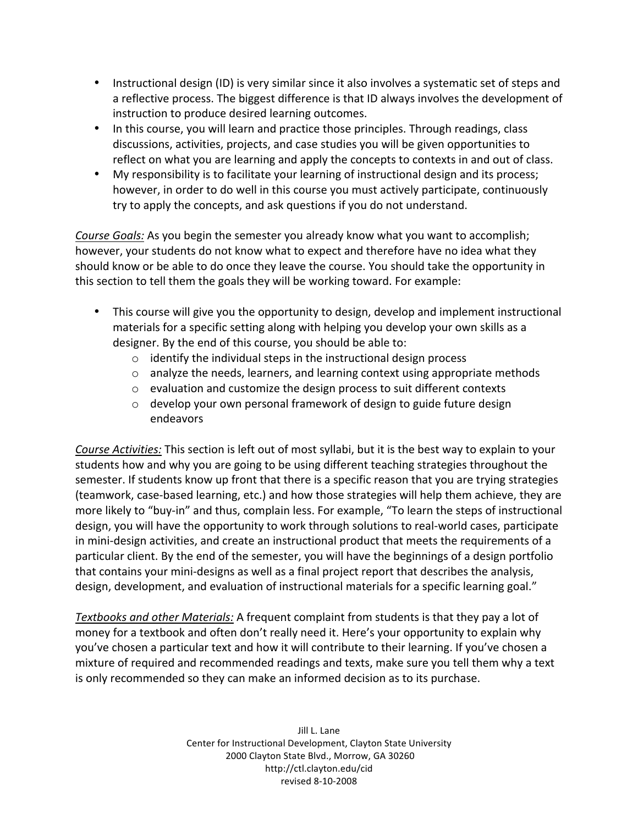- Instructional design (ID) is very similar since it also involves a systematic set of steps and a reflective process. The biggest difference is that ID always involves the development of instruction
to
produce
desired
learning
outcomes.
- In this course, you will learn and practice those principles. Through readings, class discussions,
activities,
projects,
and
case
studies
you
will
be
given
opportunities
to reflect on what you are learning and apply the concepts to contexts in and out of class.
- My responsibility is to facilitate your learning of instructional design and its process; however, in order to do well in this course you must actively participate, continuously try
to
apply
the
concepts,
and
ask
questions
if
you
do
not
understand.

Course Goals: As you begin the semester you already know what you want to accomplish; however, your students do not know what to expect and therefore have no idea what they should know or be able to do once they leave the course. You should take the opportunity in this section to tell them the goals they will be working toward. For example:

- This course will give you the opportunity to design, develop and implement instructional materials for a specific setting along with helping you develop your own skills as a designer. By the end of this course, you should be able to:
	- o identify
	the
	individual
	steps
	in
	the
	instructional
	design
	process
	- $\circ$  analyze the needs, learners, and learning context using appropriate methods
	- o evaluation
	and
	customize
	the
	design
	process
	to
	suit
	different
	contexts
	- o develop your own personal framework of design to guide future design endeavors

Course Activities: This section is left out of most syllabi, but it is the best way to explain to your students
how
and
why
you
are
going
to
be
using
different
teaching
strategies
throughout
the semester. If students know up front that there is a specific reason that you are trying strategies (teamwork,
case‐based
learning,
etc.)
and
how
those
strategies
will
help
them
achieve,
they
are more likely to "buy-in" and thus, complain less. For example, "To learn the steps of instructional design,
you
will
have
the
opportunity
to
work
through
solutions
to
real‐world
cases,
participate in mini-design activities, and create an instructional product that meets the requirements of a particular client. By the end of the semester, you will have the beginnings of a design portfolio that contains your mini-designs as well as a final project report that describes the analysis, design, development, and evaluation of instructional materials for a specific learning goal."

Textbooks and other Materials: A frequent complaint from students is that they pay a lot of money for a textbook and often don't really need it. Here's your opportunity to explain why you've chosen a particular text and how it will contribute to their learning. If you've chosen a mixture of required and recommended readings and texts, make sure you tell them why a text is only recommended so they can make an informed decision as to its purchase.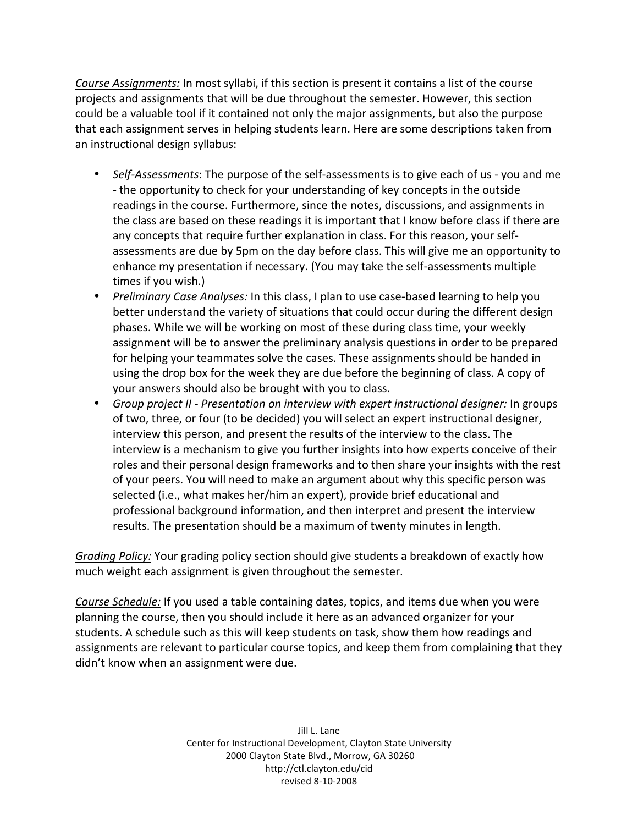Course Assignments: In most syllabi, if this section is present it contains a list of the course projects
and
assignments
that
will
be
due
throughout
the
semester.
However,
this
section could
be
a
valuable
tool
if
it
contained
not
only
the
major
assignments,
but
also
the
purpose that
each
assignment
serves
in
helping
students
learn.
Here
are
some
descriptions
taken
from an
instructional
design
syllabus:

- Self-Assessments: The purpose of the self-assessments is to give each of us you and me - the opportunity to check for your understanding of key concepts in the outside readings in the course. Furthermore, since the notes, discussions, and assignments in the class are based on these readings it is important that I know before class if there are any concepts that require further explanation in class. For this reason, your selfassessments are due by 5pm on the day before class. This will give me an opportunity to enhance my presentation if necessary. (You may take the self-assessments multiple times
if
you
wish.)
- *Preliminary Case Analyses:* In this class, I plan to use case-based learning to help you better understand the variety of situations that could occur during the different design phases. While we will be working on most of these during class time, your weekly assignment will be to answer the preliminary analysis questions in order to be prepared for helping your teammates solve the cases. These assignments should be handed in using the drop box for the week they are due before the beginning of class. A copy of your
answers
should
also
be
brought
with
you
to
class.
- Group project II Presentation on interview with expert instructional designer: In groups of two, three, or four (to be decided) you will select an expert instructional designer, interview this person, and present the results of the interview to the class. The interview is a mechanism to give you further insights into how experts conceive of their roles and their personal design frameworks and to then share your insights with the rest of
your
peers.
You
will
need
to
make
an
argument
about
why
this
specific
person
was selected (i.e., what makes her/him an expert), provide brief educational and professional background information, and then interpret and present the interview results. The presentation should be a maximum of twenty minutes in length.

Grading Policy: Your grading policy section should give students a breakdown of exactly how much
weight
each
assignment
is
given
throughout
the
semester.

Course Schedule: If you used a table containing dates, topics, and items due when you were planning the course, then you should include it here as an advanced organizer for your students. A schedule such as this will keep students on task, show them how readings and assignments are relevant to particular course topics, and keep them from complaining that they didn't
know
when
an
assignment
were
due.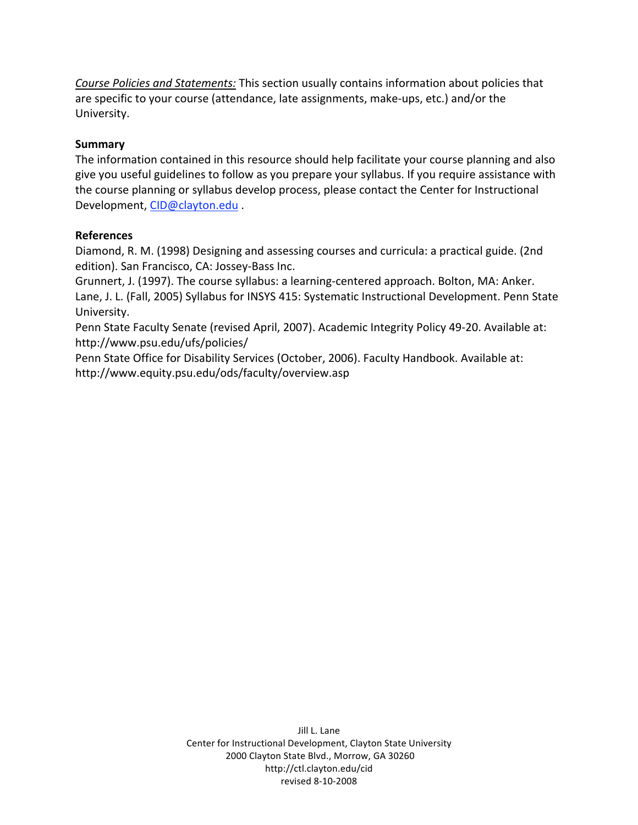Course Policies and Statements: This section usually contains information about policies that are
specific
to
your
course
(attendance,
late
assignments,
make‐ups,
etc.)
and/or
the University.

### **Summary**

The information contained in this resource should help facilitate your course planning and also give you useful guidelines to follow as you prepare your syllabus. If you require assistance with the
course
planning
or
syllabus
develop
process,
please
contact
the
Center
for
Instructional Development,
CID@clayton.edu .

### **References**

Diamond, R. M. (1998) Designing and assessing courses and curricula: a practical guide. (2nd edition).
San
Francisco,
CA:
Jossey‐Bass
Inc.

Grunnert, J. (1997). The course syllabus: a learning-centered approach. Bolton, MA: Anker. Lane, J. L. (Fall, 2005) Syllabus for INSYS 415: Systematic Instructional Development. Penn State University.

Penn State Faculty Senate (revised April, 2007). Academic Integrity Policy 49-20. Available at: http://www.psu.edu/ufs/policies/

Penn State Office for Disability Services (October, 2006). Faculty Handbook. Available at: http://www.equity.psu.edu/ods/faculty/overview.asp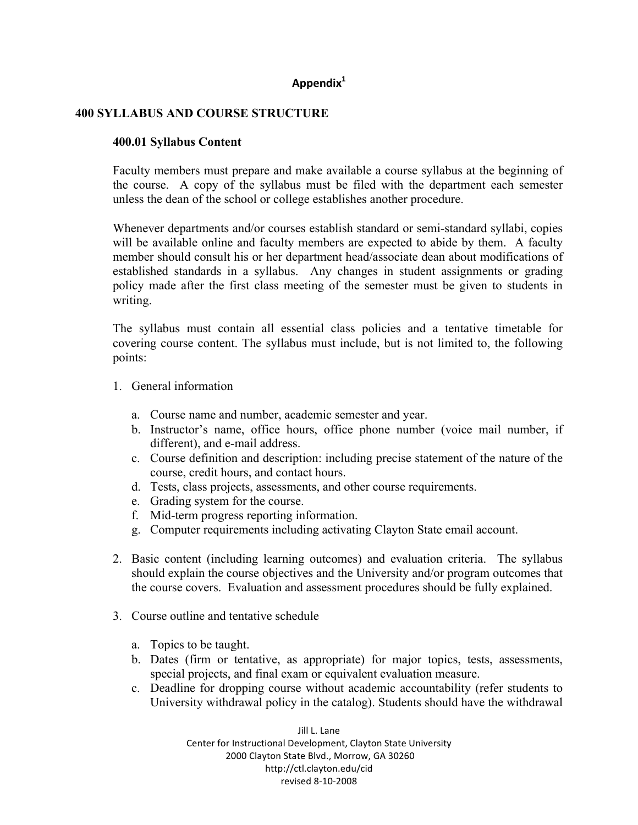# **Appendix1**

### **400 SYLLABUS AND COURSE STRUCTURE**

#### **400.01 Syllabus Content**

Faculty members must prepare and make available a course syllabus at the beginning of the course. A copy of the syllabus must be filed with the department each semester unless the dean of the school or college establishes another procedure.

Whenever departments and/or courses establish standard or semi-standard syllabi, copies will be available online and faculty members are expected to abide by them. A faculty member should consult his or her department head/associate dean about modifications of established standards in a syllabus. Any changes in student assignments or grading policy made after the first class meeting of the semester must be given to students in writing.

The syllabus must contain all essential class policies and a tentative timetable for covering course content. The syllabus must include, but is not limited to, the following points:

- 1. General information
	- a. Course name and number, academic semester and year.
	- b. Instructor's name, office hours, office phone number (voice mail number, if different), and e-mail address.
	- c. Course definition and description: including precise statement of the nature of the course, credit hours, and contact hours.
	- d. Tests, class projects, assessments, and other course requirements.
	- e. Grading system for the course.
	- f. Mid-term progress reporting information.
	- g. Computer requirements including activating Clayton State email account.
- 2. Basic content (including learning outcomes) and evaluation criteria. The syllabus should explain the course objectives and the University and/or program outcomes that the course covers. Evaluation and assessment procedures should be fully explained.
- 3. Course outline and tentative schedule
	- a. Topics to be taught.
	- b. Dates (firm or tentative, as appropriate) for major topics, tests, assessments, special projects, and final exam or equivalent evaluation measure.
	- c. Deadline for dropping course without academic accountability (refer students to University withdrawal policy in the catalog). Students should have the withdrawal